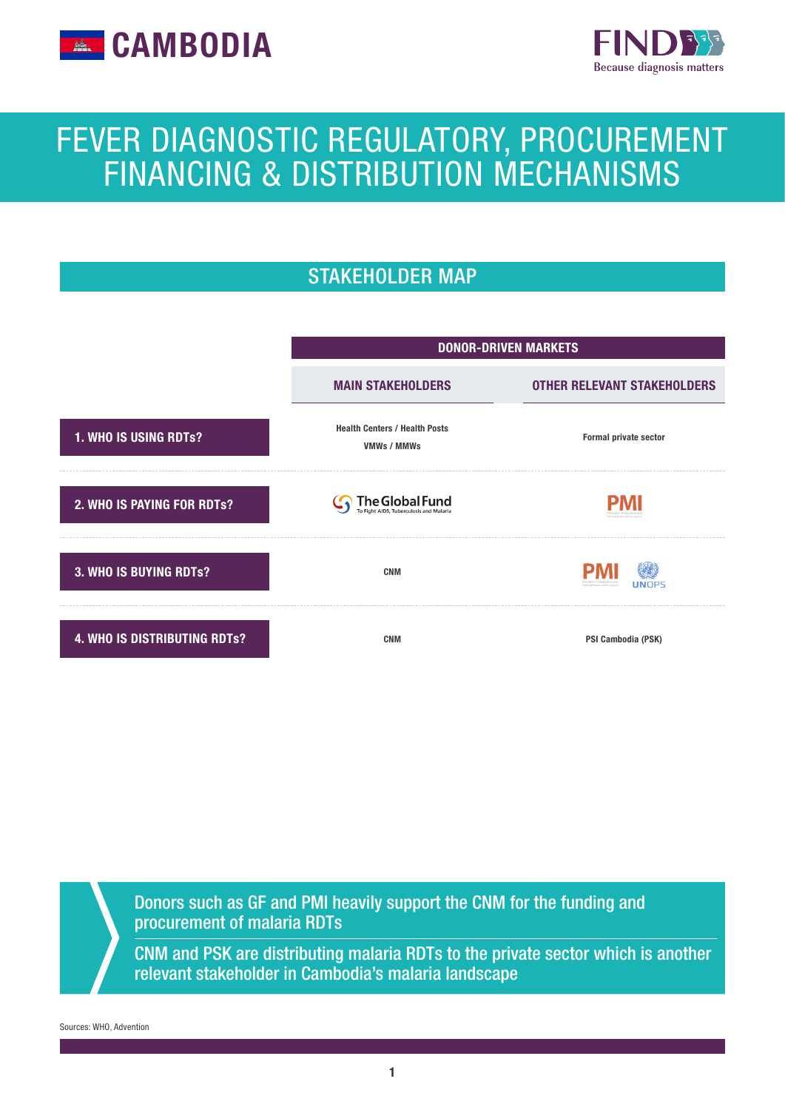



# FEVER DIAGNOSTIC REGULATORY, PROCUREMENT FINANCING & DISTRIBUTION MECHANISMS

# STAKEHOLDER MAP



Donors such as GF and PMI heavily support the CNM for the funding and procurement of malaria RDTs

CNM and PSK are distributing malaria RDTs to the private sector which is another relevant stakeholder in Cambodia's malaria landscape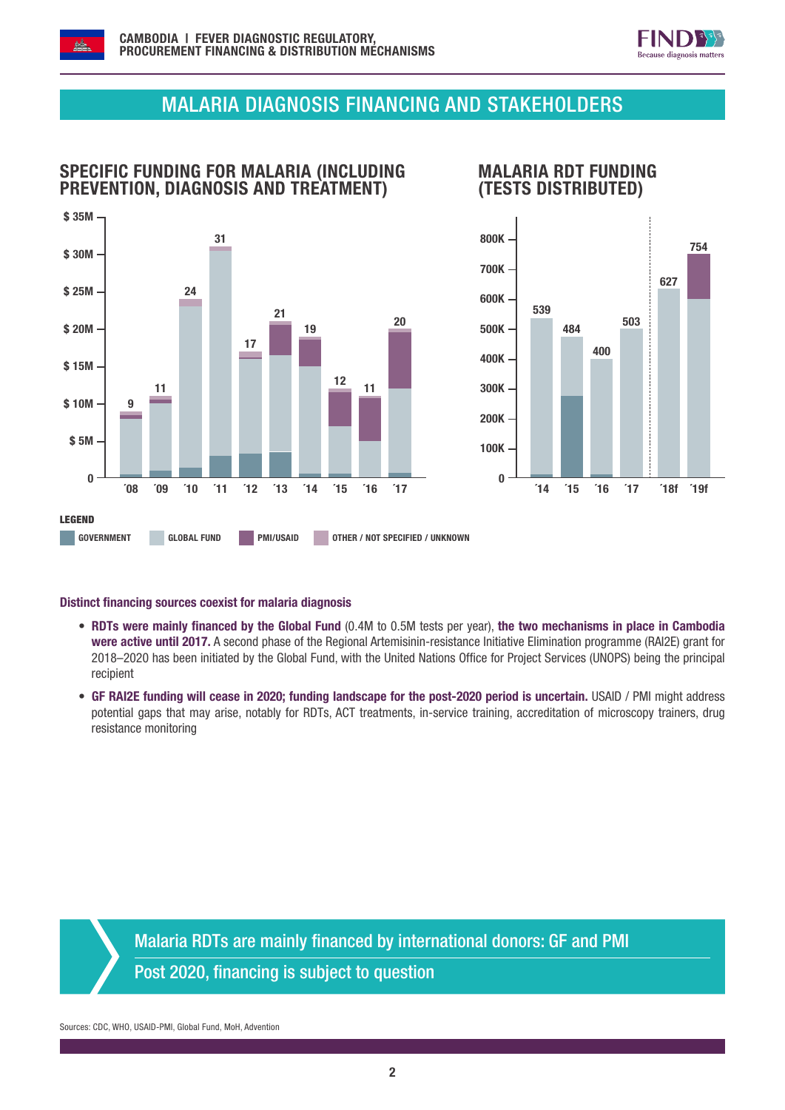



## MALARIA DIAGNOSIS FINANCING AND STAKEHOLDERS

### SPECIFIC FUNDING FOR MALARIA (INCLUDING PREVENTION, DIAGNOSIS AND TREATMENT)





MALARIA RDT FUNDING

# 400 0 100K 200K 300K 400K ´14 ´15 ´16 ´17 ´18f ´19f

#### Distinct financing sources coexist for malaria diagnosis

- RDTs were mainly financed by the Global Fund (0.4M to 0.5M tests per year), the two mechanisms in place in Cambodia were active until 2017. A second phase of the Regional Artemisinin-resistance Initiative Elimination programme (RAI2E) grant for 2018–2020 has been initiated by the Global Fund, with the United Nations Office for Project Services (UNOPS) being the principal recipient
- GF RAI2E funding will cease in 2020; funding landscape for the post-2020 period is uncertain. USAID / PMI might address potential gaps that may arise, notably for RDTs, ACT treatments, in-service training, accreditation of microscopy trainers, drug resistance monitoring

Malaria RDTs are mainly financed by international donors: GF and PMI Post 2020, financing is subject to question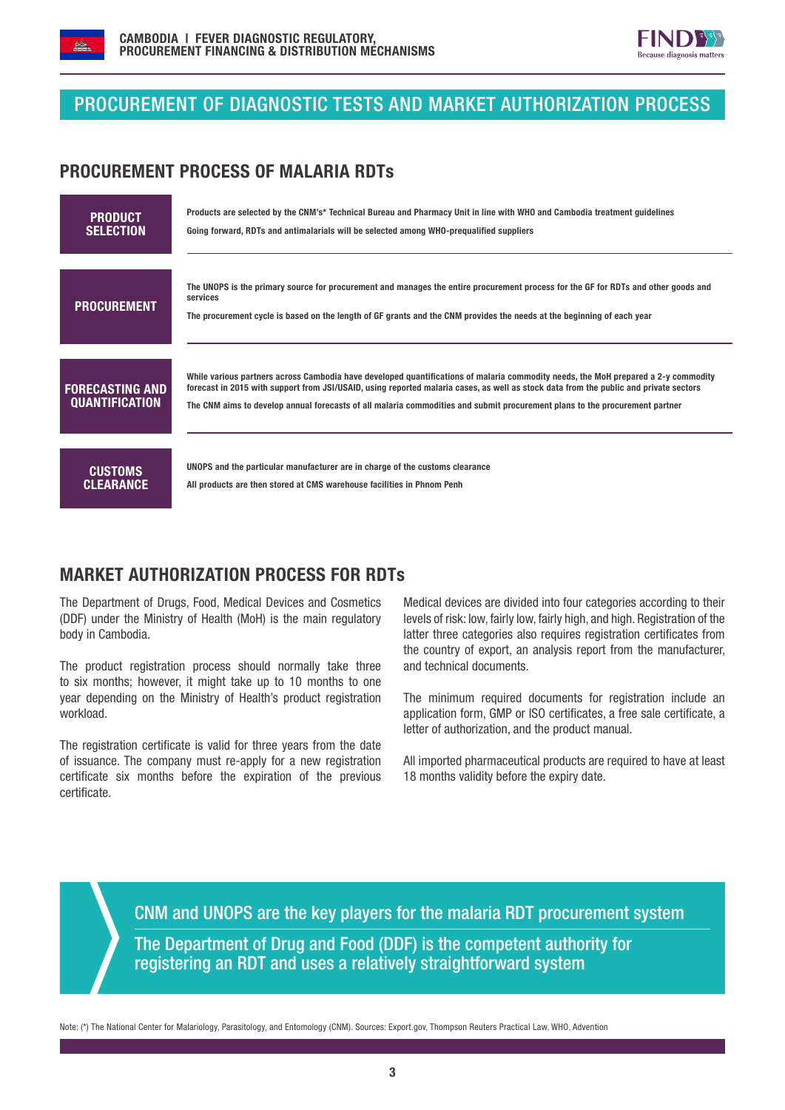



### PROCUREMENT OF DIAGNOSTIC TESTS AND MARKET AUTHORIZATION PROCESS

#### PROCUREMENT PROCESS OF MALARIA RDTs

| <b>PRODUCT</b>                                  | Products are selected by the CNM's* Technical Bureau and Pharmacy Unit in line with WHO and Cambodia treatment quidelines                                                                                                                                                                                                                                                                                  |
|-------------------------------------------------|------------------------------------------------------------------------------------------------------------------------------------------------------------------------------------------------------------------------------------------------------------------------------------------------------------------------------------------------------------------------------------------------------------|
| <b>SELECTION</b>                                | Going forward, RDTs and antimalarials will be selected among WHO-prequalified suppliers                                                                                                                                                                                                                                                                                                                    |
| <b>PROCUREMENT</b>                              | The UNOPS is the primary source for procurement and manages the entire procurement process for the GF for RDTs and other goods and<br>services<br>The procurement cycle is based on the length of GF grants and the CNM provides the needs at the beginning of each year                                                                                                                                   |
| <b>FORECASTING AND</b><br><b>OUANTIFICATION</b> | While various partners across Cambodia have developed quantifications of malaria commodity needs, the MoH prepared a 2-y commodity<br>forecast in 2015 with support from JSI/USAID, using reported malaria cases, as well as stock data from the public and private sectors<br>The CNM aims to develop annual forecasts of all malaria commodities and submit procurement plans to the procurement partner |
| <b>CUSTOMS</b>                                  | UNOPS and the particular manufacturer are in charge of the customs clearance                                                                                                                                                                                                                                                                                                                               |
| <b>CLEARANCE</b>                                | All products are then stored at CMS warehouse facilities in Phnom Penh                                                                                                                                                                                                                                                                                                                                     |

### MARKET AUTHORIZATION PROCESS FOR RDTs

The Department of Drugs, Food, Medical Devices and Cosmetics (DDF) under the Ministry of Health (MoH) is the main regulatory body in Cambodia.

The product registration process should normally take three to six months; however, it might take up to 10 months to one year depending on the Ministry of Health's product registration workload.

The registration certificate is valid for three years from the date of issuance. The company must re-apply for a new registration certificate six months before the expiration of the previous certificate.

Medical devices are divided into four categories according to their levels of risk: low, fairly low, fairly high, and high. Registration of the latter three categories also requires registration certificates from the country of export, an analysis report from the manufacturer, and technical documents.

The minimum required documents for registration include an application form, GMP or ISO certificates, a free sale certificate, a letter of authorization, and the product manual.

All imported pharmaceutical products are required to have at least 18 months validity before the expiry date.

CNM and UNOPS are the key players for the malaria RDT procurement system The Department of Drug and Food (DDF) is the competent authority for registering an RDT and uses a relatively straightforward system

Note: (\*) The National Center for Malariology, Parasitology, and Entomology (CNM). Sources: Export.gov, Thompson Reuters Practical Law, WHO, Advention